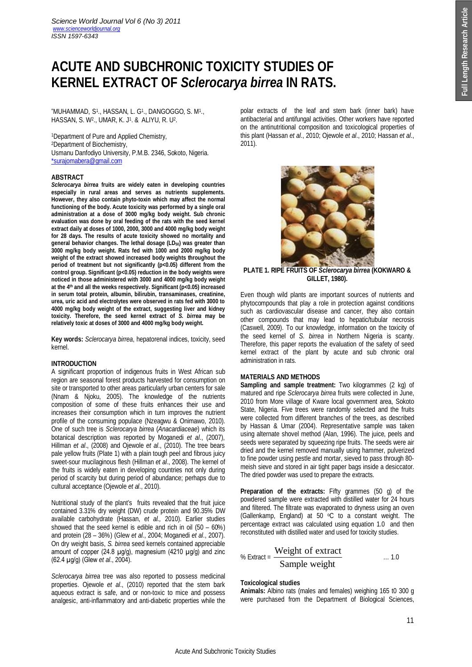# **ACUTE AND SUBCHRONIC TOXICITY STUDIES OF KERNEL EXTRACT OF** *Sclerocarya birrea* **IN RATS.**

\*Muhammad, S1., Hassan, L. G1., Dangoggo, S. M1., HASSAN, S. W<sup>2</sup> ., UMAR, K. J<sup>1</sup> . & ALIYU, R. U<sup>2</sup> .

<sup>1</sup>Department of Pure and Applied Chemistry, <sup>2</sup>Department of Biochemistry, Usmanu Danfodiyo University, P.M.B. 2346, Sokoto, Nigeria. \*surajomabera@gmail.com

## **ABSTRACT**

*Sclerocarya birrea* **fruits are widely eaten in developing countries especially in rural areas and serves as nutrients supplements. However, they also contain phyto-toxin which may affect the normal functioning of the body. Acute toxicity was performed by a single oral administration at a dose of 3000 mg/kg body weight. Sub chronic evaluation was done by oral feeding of the rats with the seed kernel extract daily at doses of 1000, 2000, 3000 and 4000 mg/kg body weight for 28 days. The results of acute toxicity showed no mortality and general behavior changes. The lethal dosage (LD50) was greater than 3000 mg/kg body weight. Rats fed with 1000 and 2000 mg/kg body weight of the extract showed increased body weights throughout the period of treatment but not significantly (p<0.05) different from the control group. Significant (p<0.05) reduction in the body weights were noticed in those administered with 3000 and 4000 mg/kg body weight at the 4th and all the weeks respectively. Significant (p<0.05) increased in serum total protein, albumin, bilirubin, transaminases, creatinine, urea, uric acid and electrolytes were observed in rats fed with 3000 to 4000 mg/kg body weight of the extract, suggesting liver and kidney toxicity. Therefore, the seed kernel extract of** *S. birrea* **may be relatively toxic at doses of 3000 and 4000 mg/kg body weight.** 

**Key words:** *Sclerocarya birrea*, hepatorenal indices, toxicity, seed kernel.

## **INTRODUCTION**

A significant proportion of indigenous fruits in West African sub region are seasonal forest products harvested for consumption on site or transported to other areas particularly urban centers for sale (Nnam & Njoku, 2005). The knowledge of the nutrients composition of some of these fruits enhances their use and increases their consumption which in turn improves the nutrient profile of the consuming populace (Nzeagwu & Onimawo, 2010). One of such tree is *Sclerocarya birrea* (*Anacardiaceae*) which its botanical description was reported by Moganedi *et al*., (2007), Hillman *et al*., (2008) and Ojewole *et al*., (2010). The tree bears pale yellow fruits (Plate 1) with a plain tough peel and fibrous juicy sweet-sour mucilaginous flesh (Hillman *et al*., 2008). The kernel of the fruits is widely eaten in developing countries not only during period of scarcity but during period of abundance; perhaps due to cultural acceptance (Ojewole *et al*., 2010).

Nutritional study of the plant's fruits revealed that the fruit juice contained 3.31% dry weight (DW) crude protein and 90.35% DW available carbohydrate (Hassan, *et al.,* 2010). Earlier studies showed that the seed kernel is edible and rich in oil (50 – 60%) and protein (28 – 36%) (Glew *et al*., 2004; Moganedi *et al*., 2007). On dry weight basis, *S. birrea* seed kernels contained appreciable amount of copper (24.8  $\mu$ g/g), magnesium (4210  $\mu$ g/g) and zinc (62.4 µg/g) (Glew *et al*., 2004).

*Sclerocarya birrea* tree was also reported to possess medicinal properties. Ojewole *et al*., (2010) reported that the stem bark aqueous extract is safe, and or non-toxic to mice and possess analgesic, anti-inflammatory and anti-diabetic properties while the polar extracts of the leaf and stem bark (inner bark) have antibacterial and antifungal activities. Other workers have reported on the antinutritional composition and toxicological properties of this plant (Hassan *et al*., 2010; Ojewole *et al*., 2010; Hassan *et al*., 2011).



**PLATE 1. RIPE FRUITS OF** *Sclerocarya birrea* **(KOKWARO & GILLET, 1980).**

Even though wild plants are important sources of nutrients and phytocompounds that play a role in protection against conditions such as cardiovascular disease and cancer, they also contain other compounds that may lead to hepatic/tubular necrosis (Caswell, 2009). To our knowledge, information on the toxicity of the seed kernel of *S. birrea* in Northern Nigeria is scanty. Therefore, this paper reports the evaluation of the safety of seed kernel extract of the plant by acute and sub chronic oral administration in rats.

# **MATERIALS AND METHODS**

**Sampling and sample treatment:** Two kilogrammes (2 kg) of matured and ripe *Sclerocarya birrea* fruits were collected in June, 2010 from More village of Kware local government area, Sokoto State, Nigeria. Five trees were randomly selected and the fruits were collected from different branches of the trees, as described by Hassan & Umar (2004). Representative sample was taken using alternate shovel method (Alan, 1996). The juice, peels and seeds were separated by squeezing ripe fruits. The seeds were air dried and the kernel removed manually using hammer, pulverized to fine powder using pestle and mortar, sieved to pass through 80 meish sieve and stored in air tight paper bags inside a desiccator. The dried powder was used to prepare the extracts.

**Preparation of the extracts:** Fifty grammes (50 g) of the powdered sample were extracted with distilled water for 24 hours and filtered. The filtrate was evaporated to dryness using an oven (Gallenkamp, England) at 50 $\degree$ °C to a constant weight. The percentage extract was calculated using equation 1.0 and then reconstituted with distilled water and used for toxicity studies.

% Extract = 
$$
\frac{\text{Weight of extract}}{\text{Sample weight}}
$$
 ... 1.0

## **Toxicological studies**

**Animals:** Albino rats (males and females) weighing 165 t0 300 g were purchased from the Department of Biological Sciences,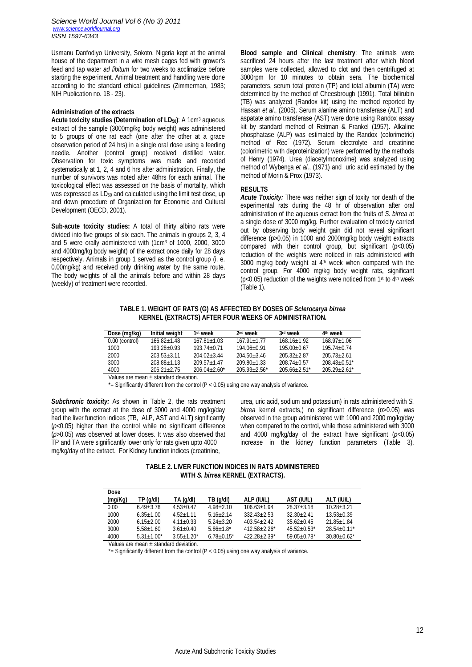*Science World Journal Vol 6 (No 3) 2011 www.scienceworldjournal.org ISSN 1597-6343*

Usmanu Danfodiyo University, Sokoto, Nigeria kept at the animal house of the department in a wire mesh cages fed with grower's feed and tap water *ad libitum* for two weeks to acclimatize before starting the experiment. Animal treatment and handling were done according to the standard ethical guidelines (Zimmerman, 1983; NIH Publication no. 18 - 23).

## **Administration of the extracts**

**Acute toxicity studies (Determination of LD50)**: A 1cm<sup>3</sup> aqueous extract of the sample (3000mg/kg body weight) was administered to 5 groups of one rat each (one after the other at a grace observation period of 24 hrs) in a single oral dose using a feeding needle. Another (control group) received distilled water. Observation for toxic symptoms was made and recorded systematically at 1, 2, 4 and 6 hrs after administration. Finally, the number of survivors was noted after 48hrs for each animal. The toxicological effect was assessed on the basis of mortality, which was expressed as LD<sub>50</sub> and calculated using the limit test dose, up and down procedure of Organization for Economic and Cultural Development (OECD, 2001).

**Sub-acute toxicity studies:** A total of thirty albino rats were divided into five groups of six each. The animals in groups 2, 3, 4 and 5 were orally administered with (1cm<sup>3</sup> of 1000, 2000, 3000 and 4000mg/kg body weight) of the extract once daily for 28 days respectively. Animals in group 1 served as the control group (i. e. 0.00mg/kg) and received only drinking water by the same route. The body weights of all the animals before and within 28 days (weekly) of treatment were recorded.

**Blood sample and Clinical chemistry**: The animals were sacrificed 24 hours after the last treatment after which blood samples were collected, allowed to clot and then centrifuged at 3000rpm for 10 minutes to obtain sera. The biochemical parameters, serum total protein (TP) and total albumin (TA) were determined by the method of Cheesbrough (1991). Total bilirubin (TB) was analyzed (Randox kit) using the method reported by Hassan *et al*., (2005). Serum alanine amino transferase (ALT) and aspatate amino transferase (AST) were done using Randox assay kit by standard method of Reitman & Frankel (1957). Alkaline phosphatase (ALP) was estimated by the Randox (colorimetric) method of Rec (1972). Serum electrolyte and creatinine (colorimetric with deproteinization) were performed by the methods of Henry (1974). Urea (diacetylmonoxime) was analyzed using method of Wybenga *et al*., (1971) and uric acid estimated by the method of Morin & Prox (1973).

#### **RESULTS**

*Acute Toxicity:* There was neither sign of toxity nor death of the experimental rats during the 48 hr of observation after oral administration of the aqueous extract from the fruits of *S. birrea* at a single dose of 3000 mg/kg. Further evaluation of toxicity carried out by observing body weight gain did not reveal significant difference (p>0.05) in 1000 and 2000mg/kg body weight extracts compared with their control group, but significant (p<0.05) reduction of the weights were noticed in rats administered with 3000 mg/kg body weight at 4th week when compared with the control group. For 4000 mg/kg body weight rats, significant (p<0.05) reduction of the weights were noticed from 1st to 4th week (Table 1).

**TABLE 1. WEIGHT OF RATS (G) AS AFFECTED BY DOSES OF** *Sclerocarya birrea* **KERNEL (EXTRACTS) AFTER FOUR WEEKS OF ADMINISTRATION.**

| Dose (mg/kg)     | Initial weight  | 1 <sup>st</sup> week | 2 <sup>nd</sup> week | 3rd week         | 4 <sup>th</sup> week |
|------------------|-----------------|----------------------|----------------------|------------------|----------------------|
| $0.00$ (control) | $166.82 + 1.48$ | $167.81 + 1.03$      | $167.91 + 1.77$      | $168.16 + 1.92$  | $168.97 + 1.06$      |
| 1000             | $193.28 + 0.93$ | 193 74+0 71          | $194.06 + 0.91$      | $195.00 + 0.67$  | $195.74 + 0.74$      |
| 2000             | $203.53 + 3.11$ | $204.02 + 3.44$      | $204.50 + 3.46$      | $205.32 + 2.87$  | $205.73 + 2.61$      |
| 3000             | 208 88+1 13     | $209.57 + 1.47$      | $209.80 + 1.33$      | $208.74 + 0.57$  | $208.43 + 0.51*$     |
| 4000             | $206.21 + 2.75$ | $206.04 + 2.60*$     | $205.93 + 2.56*$     | $205.66 + 2.51*$ | $205.29 + 2.61*$     |

Values are mean  $\pm$  standard deviation.

 $*$ = Significantly different from the control (P < 0.05) using one way analysis of variance.

**Subchronic toxicity:** As shown in Table 2, the rats treatment group with the extract at the dose of 3000 and 4000 mg/kg/day had the liver function indices (TB, ALP, AST and ALT**)** significantly (*p*<0.05) higher than the control while no significant difference (*p*>0.05) was observed at lower doses. It was also observed that TP and TA were significantly lower only for rats given upto 4000 mg/kg/day of the extract. For Kidney function indices (creatinine,

urea, uric acid, sodium and potassium) in rats administered with *S. birrea* kernel extracts,) no significant difference (*p*>0.05) was observed in the group administered with 1000 and 2000 mg/kg/day when compared to the control, while those administered with 3000 and 4000 mg/kg/day of the extract have significant (*p*<0.05) increase in the kidney function parameters (Table 3).

**TABLE 2. LIVER FUNCTION INDICES IN RATS ADMINISTERED WITH** *S. birrea* **KERNEL (EXTRACTS).**

| Dose    |                   |                |                 |                   |                  |                             |
|---------|-------------------|----------------|-----------------|-------------------|------------------|-----------------------------|
| (mg/Kg) | TP (g/dl)         | TA (g/dl)      | TB (q/dl)       | ALP (IU/L)        | AST (IU/L)       | ALT (IU/L)                  |
| 0.00    | $6.49 + 3.78$     | $4.53 + 0.47$  | $4.98 + 2.10$   | $106.63 + 1.94$   | $28.37 + 3.18$   | $10.28 + 3.21$              |
| 1000    | $6.35 + 1.00$     | $4.52 + 1.11$  | $5.16 + 2.14$   | $332.43 + 2.53$   | $32.30 + 2.41$   | $13.53 + 0.39$              |
| 2000    | $6.15 + 2.00$     | $4.11+0.33$    | $5.24 + 3.20$   | $403.54 + 2.42$   | $35.62 + 0.45$   | $21.85 + 1.84$              |
| 3000    | $5.58 + 1.60$     | $3.61 + 0.40$  | $5.86 + 1.8$    | $412.58 + 2.26*$  | $45.52+0.53*$    | $28.54 + 0.11$ <sup>*</sup> |
| 4000    | $5.31 \pm 1.00^*$ | $3.55 + 1.20*$ | $6.78 + 0.15^*$ | $422.28 + 2.39^*$ | $59.05 + 0.78$ * | $30.80 + 0.62^*$            |

Values are mean ± standard deviation.

 $*$ = Significantly different from the control (P < 0.05) using one way analysis of variance.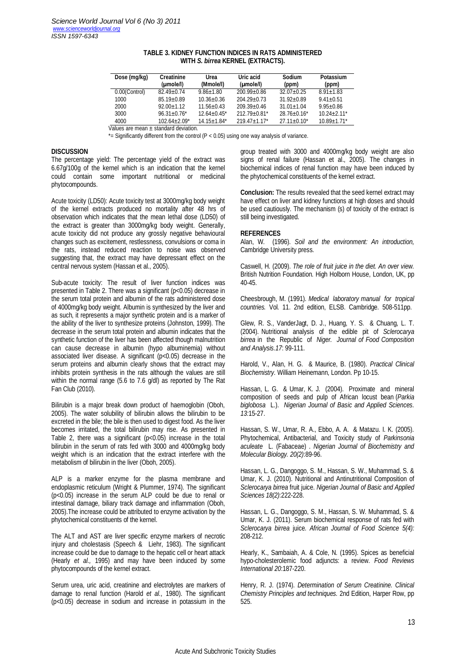| Dose (mg/kg)                        | <b>Creatinine</b><br>(mole/l) | Urea<br>(Mmole/I)  | Uric acid<br>(µmole/l) | Sodium<br>(ppm)  | Potassium<br>(ppm) |  |  |
|-------------------------------------|-------------------------------|--------------------|------------------------|------------------|--------------------|--|--|
| 0.00(Control)                       | $82.49 + 0.74$                | $9.86 + 1.80$      | $200.99 + 0.86$        | $32.07 + 0.25$   | $8.91 \pm 1.83$    |  |  |
| 1000                                | $85.19 + 0.89$                | $10.36 + 0.36$     | $204.29 + 0.73$        | $31.92 + 0.89$   | $9.41 + 0.51$      |  |  |
| 2000                                | $92.00 + 1.12$                | $11.56 + 0.43$     | $209.39 + 0.46$        | $31.01 \pm 1.04$ | $9.95 + 0.86$      |  |  |
| 3000                                | $96.31 + 0.76$ *              | $12.64 + 0.45^*$   | $212.79 + 0.81*$       | $28.76 + 0.16^*$ | $10.24 + 2.11*$    |  |  |
| 4000                                | $102.64 + 2.09*$              | $14.15 \pm 1.84$ * | $219.47 \pm 1.17$ *    | $27.11+0.10*$    | $10.89 \pm 1.71$ * |  |  |
| Loluce are mean. standard deviation |                               |                    |                        |                  |                    |  |  |

### **TABLE 3. KIDNEY FUNCTION INDICES IN RATS ADMINISTERED WITH** *S. birrea* **KERNEL (EXTRACTS).**

Values are mean  $\pm$  standard deviation.

 $*$ = Significantly different from the control (P < 0.05) using one way analysis of variance.

## **DISCUSSION**

The percentage yield: The percentage yield of the extract was 6.67g/100g of the kernel which is an indication that the kernel could contain some important nutritional or medicinal phytocompounds.

Acute toxicity (LD50): Acute toxicity test at 3000mg/kg body weight of the kernel extracts produced no mortality after 48 hrs of observation which indicates that the mean lethal dose (LD50) of the extract is greater than 3000mg/kg body weight. Generally, acute toxicity did not produce any grossly negative behavioural changes such as excitement, restlessness, convulsions or coma in the rats, instead reduced reaction to noise was observed suggesting that, the extract may have depressant effect on the central nervous system (Hassan et al., 2005).

Sub-acute toxicity: The result of liver function indices was presented in Table 2. There was a significant (p<0.05) decrease in the serum total protein and albumin of the rats administered dose of 4000mg/kg body weight. Albumin is synthesized by the liver and as such, it represents a major synthetic protein and is a marker of the ability of the liver to synthesize proteins (Johnston, 1999). The decrease in the serum total protein and albumin indicates that the synthetic function of the liver has been affected though malnutrition can cause decrease in albumin (hypo albuminemia) without associated liver disease. A significant (p<0.05) decrease in the serum proteins and albumin clearly shows that the extract may inhibits protein synthesis in the rats although the values are still within the normal range (5.6 to 7.6 g/dl) as reported by The Rat Fan Club (2010).

Bilirubin is a major break down product of haemoglobin (Oboh. 2005). The water solubility of bilirubin allows the bilirubin to be excreted in the bile; the bile is then used to digest food. As the liver becomes irritated, the total bilirubin may rise. As presented in Table 2, there was a significant (p<0.05) increase in the total bilirubin in the serum of rats fed with 3000 and 4000mg/kg body weight which is an indication that the extract interfere with the metabolism of bilirubin in the liver (Oboh, 2005).

ALP is a marker enzyme for the plasma membrane and endoplasmic reticulum (Wright & Plummer, 1974). The significant (p<0.05) increase in the serum ALP could be due to renal or intestinal damage, biliary track damage and inflammation (Oboh, 2005).The increase could be attributed to enzyme activation by the phytochemical constituents of the kernel.

The ALT and AST are liver specific enzyme markers of necrotic injury and cholestasis (Speech & Liehr, 1983). The significant increase could be due to damage to the hepatic cell or heart attack (Hearly *et al.,* 1995) and may have been induced by some phytocompounds of the kernel extract.

Serum urea, uric acid, creatinine and electrolytes are markers of damage to renal function (Harold *et al.,* 1980). The significant (p<0.05) decrease in sodium and increase in potassium in the

group treated with 3000 and 4000mg/kg body weight are also signs of renal failure (Hassan et al., 2005). The changes in biochemical indices of renal function may have been induced by the phytochemical constituents of the kernel extract.

**Conclusion:** The results revealed that the seed kernel extract may have effect on liver and kidney functions at high doses and should be used cautiously. The mechanism (s) of toxicity of the extract is still being investigated.

#### **REFERENCES**

Alan, W. (1996). *Soil and the environment: An introduction,* Cambridge University press.

Caswell, H. (2009). *The role of fruit juice in the diet. An over view.* British Nutrition Foundation. High Holborn House, London, UK, pp 40-45.

Cheesbrough, M. (1991). *Medical laboratory manual for tropical countries.* Vol. 11. 2nd edition, ELSB. Cambridge. 508-511pp.

Glew, R. S., VanderJagt, D. J., Huang, Y. S. & Chuang, L. T. (2004). Nutritional analysis of the edible pit of *Sclerocarya birrea* in the Republic of *Niger. Journal of Food Composition and Analysis.17*: 99-111.

Harold, V., Alan, H. G. & Maurice, B. (1980). *Practical Clinical Biochemistry.* William Heinemann, London. Pp 10-15.

Hassan, L. G. & Umar, K. J. (2004). Proximate and mineral composition of seeds and pulp of African locust bean (*Parkia biglobosa* L.). *Nigerian Journal of Basic and Applied Sciences. 13:*15-27.

Hassan, S. W., Umar, R. A., Ebbo, A. A. & Matazu. I. K. (2005). Phytochemical, Antibacterial, and Toxicity study of *Parkinsonia aculeate* L. (Fabaceae) . *Nigerian Journal of Biochemistry and Molecular Biology. 20(2)*:89-96.

Hassan, L. G., Dangoggo, S. M., Hassan, S. W., Muhammad, S. & Umar, K. J. (2010). Nutritional and Antinutritional Composition of *Sclerocarya birrea* fruit juice. *Nigerian Journal of Basic and Applied Sciences 18(2)*:222-228.

Hassan, L. G., Dangoggo, S. M., Hassan, S. W. Muhammad, S. & Umar, K. J. (2011). Serum biochemical response of rats fed with *Sclerocarya birrea* juice. *African Journal of Food Science 5(4):*  208-212.

Hearly, K., Sambaiah, A. & Cole, N. (1995). Spices as beneficial hypo-cholesterolemic food adjuncts: a review. *Food Reviews International 20*:187-220.

Henry, R. J. (1974). *Determination of Serum Creatinine. Clinical Chemistry Principles and techniques.* 2nd Edition, Harper Row, pp 525.